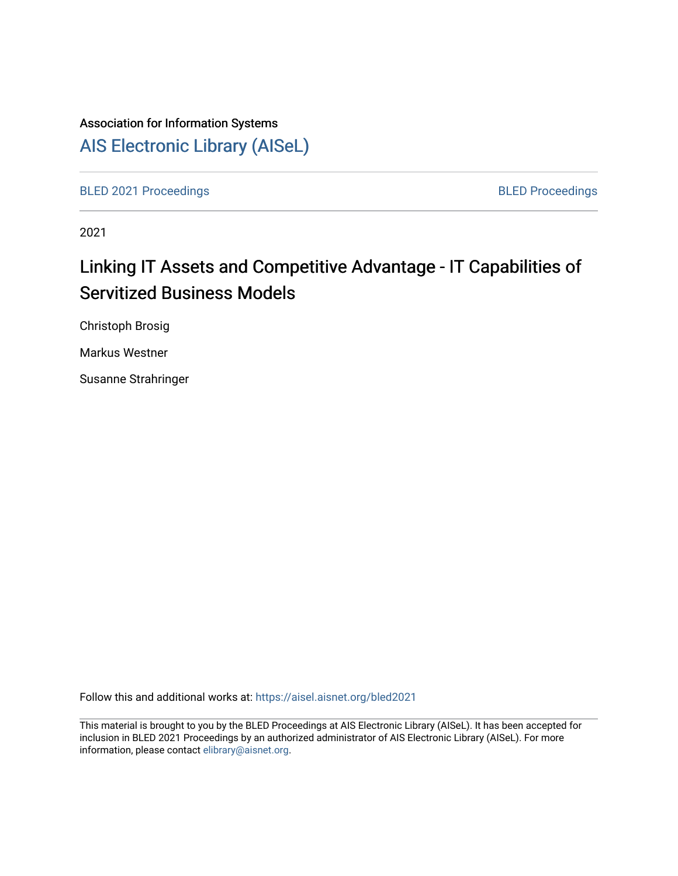# Association for Information Systems

# [AIS Electronic Library \(AISeL\)](https://aisel.aisnet.org/)

[BLED 2021 Proceedings](https://aisel.aisnet.org/bled2021) **BLED Proceedings** 

2021

# Linking IT Assets and Competitive Advantage - IT Capabilities of Servitized Business Models

Christoph Brosig

Markus Westner

Susanne Strahringer

Follow this and additional works at: [https://aisel.aisnet.org/bled2021](https://aisel.aisnet.org/bled2021?utm_source=aisel.aisnet.org%2Fbled2021%2F10&utm_medium=PDF&utm_campaign=PDFCoverPages) 

This material is brought to you by the BLED Proceedings at AIS Electronic Library (AISeL). It has been accepted for inclusion in BLED 2021 Proceedings by an authorized administrator of AIS Electronic Library (AISeL). For more information, please contact [elibrary@aisnet.org.](mailto:elibrary@aisnet.org%3E)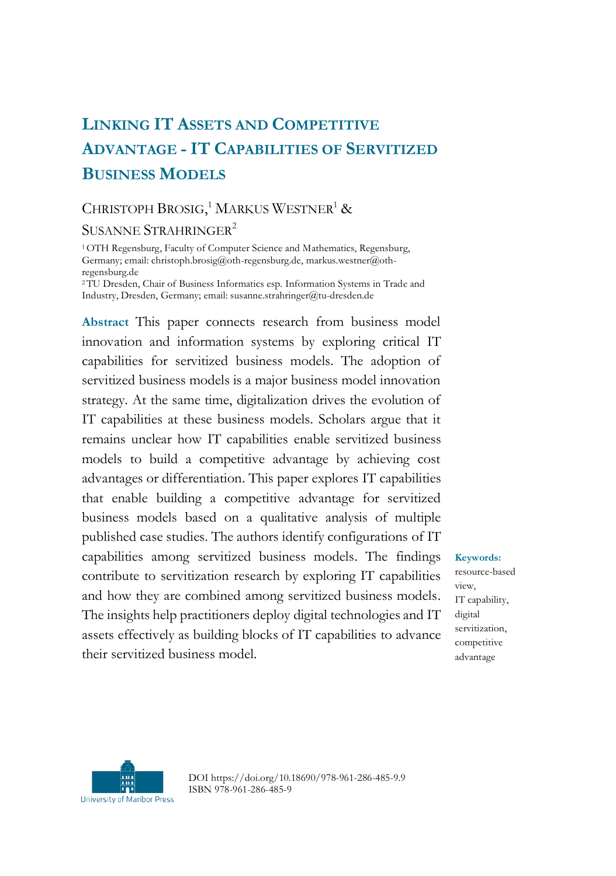## **LINKING IT ASSETS AND COMPETITIVE ADVANTAGE - IT CAPABILITIES OF SERVITIZED BUSINESS MODELS**

## CHRISTOPH BROSIG,<sup>1</sup> MARKUS WESTNER<sup>1</sup> &

#### SUSANNE STRAHRINGER<sup>2</sup>

<sup>1</sup>OTH Regensburg, Faculty of Computer Science and Mathematics, Regensburg, Germany; email: christoph.brosig@oth-regensburg.de, markus.westner@othregensburg.de

<sup>2</sup>TU Dresden, Chair of Business Informatics esp. Information Systems in Trade and Industry, Dresden, Germany; email: susanne.strahringer@tu-dresden.de

**Abstract** This paper connects research from business model innovation and information systems by exploring critical IT capabilities for servitized business models. The adoption of servitized business models is a major business model innovation strategy. At the same time, digitalization drives the evolution of IT capabilities at these business models. Scholars argue that it remains unclear how IT capabilities enable servitized business models to build a competitive advantage by achieving cost advantages or differentiation. This paper explores IT capabilities that enable building a competitive advantage for servitized business models based on a qualitative analysis of multiple published case studies. The authors identify configurations of IT capabilities among servitized business models. The findings contribute to servitization research by exploring IT capabilities and how they are combined among servitized business models. The insights help practitioners deploy digital technologies and IT assets effectively as building blocks of IT capabilities to advance their servitized business model.

**Keywords:** resource-based view, IT capability, digital servitization, competitive advantage



DOI https://doi.org/10.18690/978-961-286-485-9.9 ISBN 978-961-286-485-9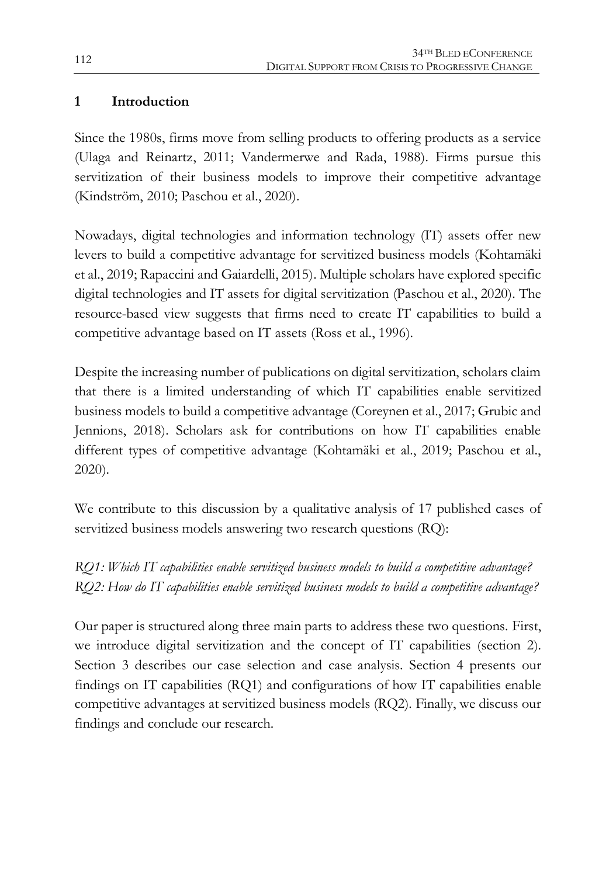#### **1 Introduction**

Since the 1980s, firms move from selling products to offering products as a service (Ulaga and Reinartz, 2011; Vandermerwe and Rada, 1988). Firms pursue this servitization of their business models to improve their competitive advantage (Kindström, 2010; Paschou et al., 2020).

Nowadays, digital technologies and information technology (IT) assets offer new levers to build a competitive advantage for servitized business models (Kohtamäki et al., 2019; Rapaccini and Gaiardelli, 2015). Multiple scholars have explored specific digital technologies and IT assets for digital servitization (Paschou et al., 2020). The resource-based view suggests that firms need to create IT capabilities to build a competitive advantage based on IT assets (Ross et al., 1996).

Despite the increasing number of publications on digital servitization, scholars claim that there is a limited understanding of which IT capabilities enable servitized business models to build a competitive advantage (Coreynen et al., 2017; Grubic and Jennions, 2018). Scholars ask for contributions on how IT capabilities enable different types of competitive advantage (Kohtamäki et al., 2019; Paschou et al., 2020).

We contribute to this discussion by a qualitative analysis of 17 published cases of servitized business models answering two research questions (RQ):

*RQ1: Which IT capabilities enable servitized business models to build a competitive advantage? RQ2: How do IT capabilities enable servitized business models to build a competitive advantage?*

Our paper is structured along three main parts to address these two questions. First, we introduce digital servitization and the concept of IT capabilities (section 2). Section 3 describes our case selection and case analysis. Section 4 presents our findings on IT capabilities (RQ1) and configurations of how IT capabilities enable competitive advantages at servitized business models (RQ2). Finally, we discuss our findings and conclude our research.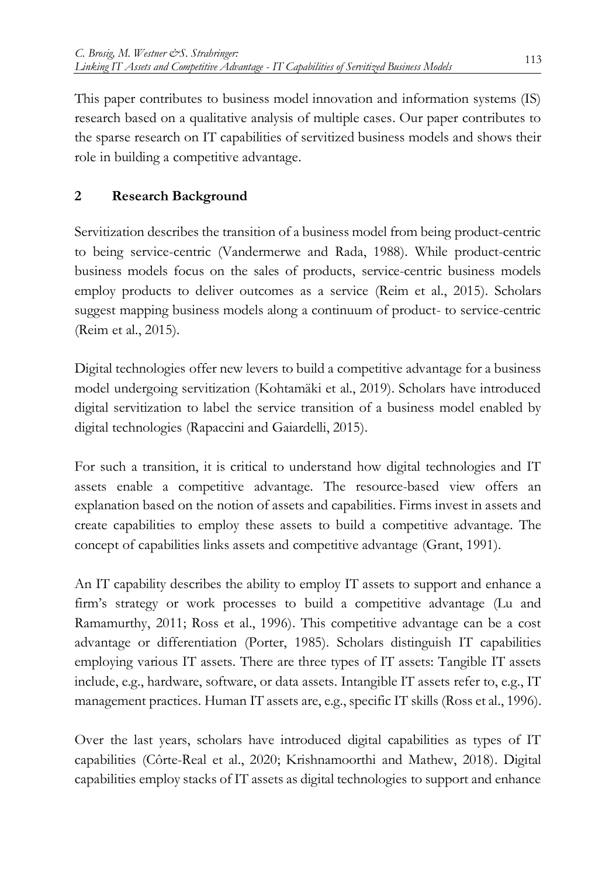This paper contributes to business model innovation and information systems (IS) research based on a qualitative analysis of multiple cases. Our paper contributes to the sparse research on IT capabilities of servitized business models and shows their role in building a competitive advantage.

## **2 Research Background**

Servitization describes the transition of a business model from being product-centric to being service-centric (Vandermerwe and Rada, 1988). While product-centric business models focus on the sales of products, service-centric business models employ products to deliver outcomes as a service (Reim et al., 2015). Scholars suggest mapping business models along a continuum of product- to service-centric (Reim et al., 2015).

Digital technologies offer new levers to build a competitive advantage for a business model undergoing servitization (Kohtamäki et al., 2019). Scholars have introduced digital servitization to label the service transition of a business model enabled by digital technologies (Rapaccini and Gaiardelli, 2015).

For such a transition, it is critical to understand how digital technologies and IT assets enable a competitive advantage. The resource-based view offers an explanation based on the notion of assets and capabilities. Firms invest in assets and create capabilities to employ these assets to build a competitive advantage. The concept of capabilities links assets and competitive advantage (Grant, 1991).

An IT capability describes the ability to employ IT assets to support and enhance a firm's strategy or work processes to build a competitive advantage (Lu and Ramamurthy, 2011; Ross et al., 1996). This competitive advantage can be a cost advantage or differentiation (Porter, 1985). Scholars distinguish IT capabilities employing various IT assets. There are three types of IT assets: Tangible IT assets include, e.g., hardware, software, or data assets. Intangible IT assets refer to, e.g., IT management practices. Human IT assets are, e.g., specific IT skills (Ross et al., 1996).

Over the last years, scholars have introduced digital capabilities as types of IT capabilities (Côrte-Real et al., 2020; Krishnamoorthi and Mathew, 2018). Digital capabilities employ stacks of IT assets as digital technologies to support and enhance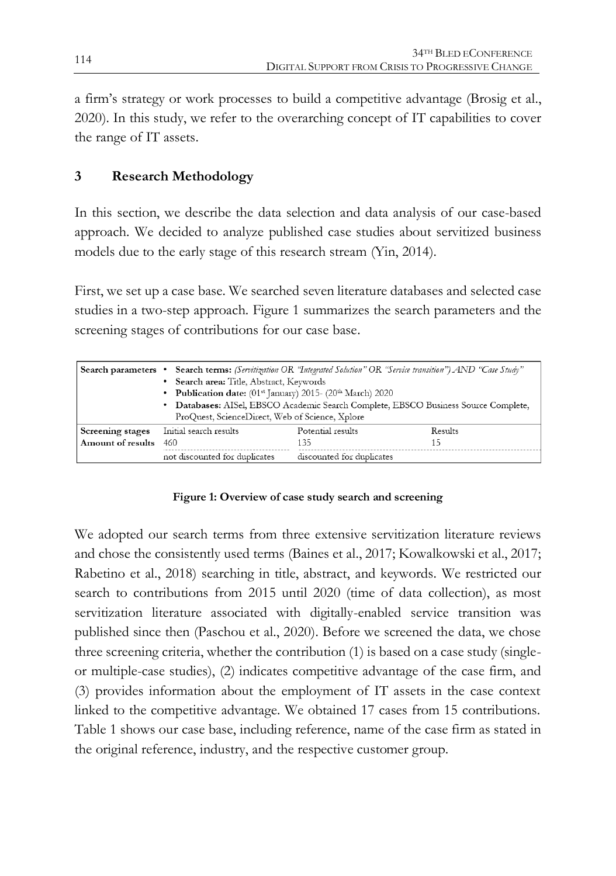a firm's strategy or work processes to build a competitive advantage (Brosig et al., 2020). In this study, we refer to the overarching concept of IT capabilities to cover the range of IT assets.

#### **3 Research Methodology**

In this section, we describe the data selection and data analysis of our case-based approach. We decided to analyze published case studies about servitized business models due to the early stage of this research stream (Yin, 2014).

First, we set up a case base. We searched seven literature databases and selected case studies in a two-step approach. Figure 1 summarizes the search parameters and the screening stages of contributions for our case base.

|                         | Search parameters • Search terms: (Servitization OR "Integrated Solution" OR "Service transition") AND "Case Study"<br>• Search area: Title, Abstract, Keywords<br>• Publication date: $(01^{st}$ January) 2015- $(20^{th}$ March) 2020<br>• Databases: AISel, EBSCO Academic Search Complete, EBSCO Business Source Complete,<br>ProQuest, ScienceDirect, Web of Science, Xplore |                           |         |  |  |
|-------------------------|-----------------------------------------------------------------------------------------------------------------------------------------------------------------------------------------------------------------------------------------------------------------------------------------------------------------------------------------------------------------------------------|---------------------------|---------|--|--|
| <b>Screening stages</b> | Initial search results                                                                                                                                                                                                                                                                                                                                                            | Potential results         | Results |  |  |
| Amount of results       | 460<br>135<br>15                                                                                                                                                                                                                                                                                                                                                                  |                           |         |  |  |
|                         | not discounted for duplicates                                                                                                                                                                                                                                                                                                                                                     | discounted for duplicates |         |  |  |

#### **Figure 1: Overview of case study search and screening**

We adopted our search terms from three extensive servitization literature reviews and chose the consistently used terms (Baines et al., 2017; Kowalkowski et al., 2017; Rabetino et al., 2018) searching in title, abstract, and keywords. We restricted our search to contributions from 2015 until 2020 (time of data collection), as most servitization literature associated with digitally-enabled service transition was published since then (Paschou et al., 2020). Before we screened the data, we chose three screening criteria, whether the contribution (1) is based on a case study (singleor multiple-case studies), (2) indicates competitive advantage of the case firm, and (3) provides information about the employment of IT assets in the case context linked to the competitive advantage. We obtained 17 cases from 15 contributions. Table 1 shows our case base, including reference, name of the case firm as stated in the original reference, industry, and the respective customer group.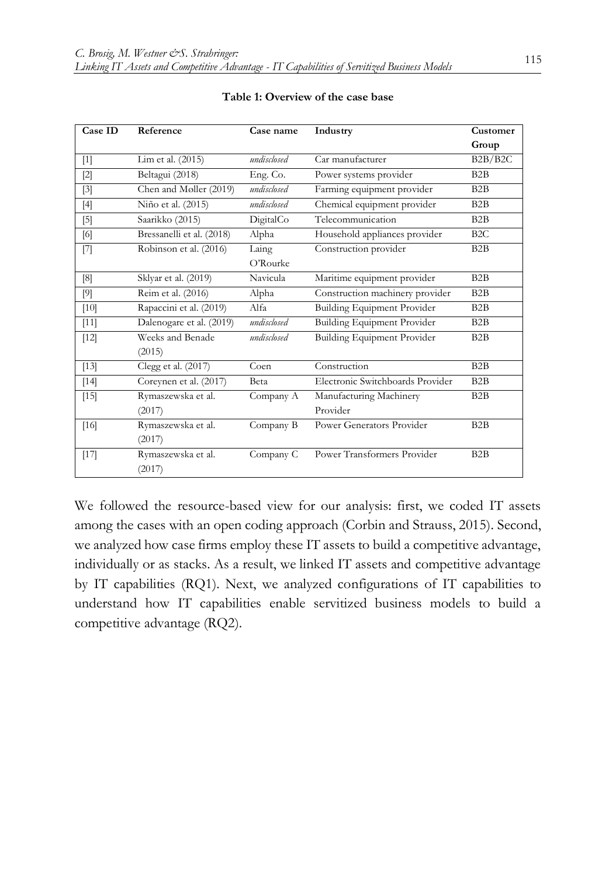| Case ID           | Reference                    | Case name         | Industry                            | Customer         |
|-------------------|------------------------------|-------------------|-------------------------------------|------------------|
|                   |                              |                   |                                     | Group            |
| $[1]$             | Lim et al. (2015)            | undisclosed       | Car manufacturer                    | B2B/B2C          |
| $[2]$             | Beltagui (2018)              | Eng. Co.          | Power systems provider              | B2B              |
| $\lceil 3 \rceil$ | Chen and Møller (2019)       | undisclosed       | Farming equipment provider          | B2B              |
| [4]               | Niño et al. (2015)           | undisclosed       | Chemical equipment provider         | B2B              |
| $[5]$             | Saarikko (2015)              | DigitalCo         | Telecommunication                   | B2B              |
| [6]               | Bressanelli et al. (2018)    | Alpha             | Household appliances provider       | B <sub>2</sub> C |
| $[7]$             | Robinson et al. (2016)       | Laing<br>O'Rourke | Construction provider               | B2B              |
| [8]               | Sklyar et al. (2019)         | Navicula          | Maritime equipment provider         | B2B              |
| $[9]$             | Reim et al. (2016)           | Alpha             | Construction machinery provider     | B <sub>2</sub> B |
| $[10]$            | Rapaccini et al. (2019)      | Alfa              | Building Equipment Provider         | B <sub>2</sub> B |
| $[11]$            | Dalenogare et al. (2019)     | undisclosed       | <b>Building Equipment Provider</b>  | B2B              |
| $[12]$            | Weeks and Benade<br>(2015)   | undisclosed       | <b>Building Equipment Provider</b>  | B2B              |
| [13]              | Clegg et al. (2017)          | Coen              | Construction                        | B2B              |
| $[14]$            | Coreynen et al. (2017)       | Beta              | Electronic Switchboards Provider    | B2B              |
| $[15]$            | Rymaszewska et al.<br>(2017) | Company A         | Manufacturing Machinery<br>Provider | B2B              |
| $[16]$            | Rymaszewska et al.<br>(2017) | Company B         | Power Generators Provider           | B2B              |
| $[17]$            | Rymaszewska et al.<br>(2017) | Company C         | Power Transformers Provider         | B <sub>2</sub> B |

#### **Table 1: Overview of the case base**

We followed the resource-based view for our analysis: first, we coded IT assets among the cases with an open coding approach (Corbin and Strauss, 2015). Second, we analyzed how case firms employ these IT assets to build a competitive advantage, individually or as stacks. As a result, we linked IT assets and competitive advantage by IT capabilities (RQ1). Next, we analyzed configurations of IT capabilities to understand how IT capabilities enable servitized business models to build a competitive advantage (RQ2).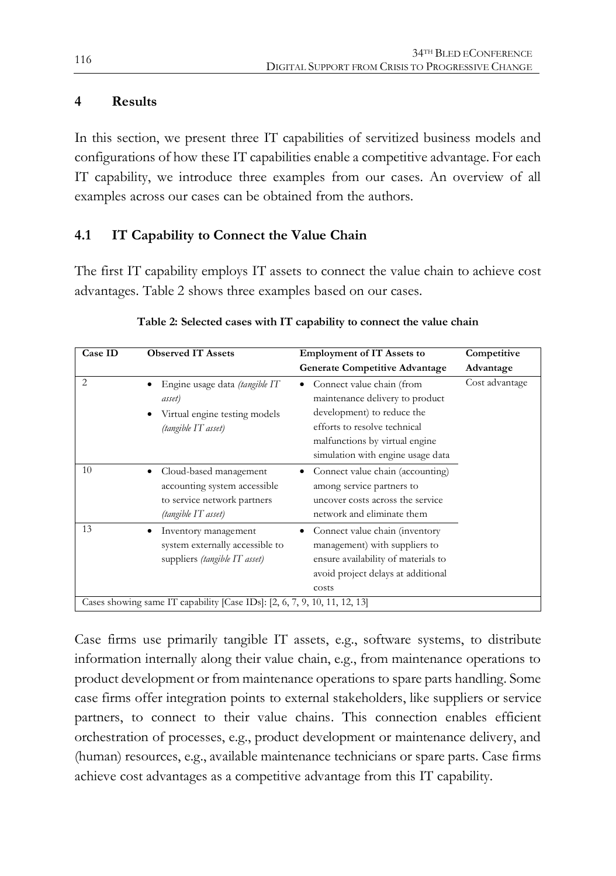#### **4 Results**

In this section, we present three IT capabilities of servitized business models and configurations of how these IT capabilities enable a competitive advantage. For each IT capability, we introduce three examples from our cases. An overview of all examples across our cases can be obtained from the authors.

### **4.1 IT Capability to Connect the Value Chain**

The first IT capability employs IT assets to connect the value chain to achieve cost advantages. Table 2 shows three examples based on our cases.

| <b>Observed IT Assets</b><br>Case ID                                      |                                                                                                              | <b>Employment of IT Assets to</b>                                                                                                                                                                      | Competitive    |  |  |
|---------------------------------------------------------------------------|--------------------------------------------------------------------------------------------------------------|--------------------------------------------------------------------------------------------------------------------------------------------------------------------------------------------------------|----------------|--|--|
|                                                                           |                                                                                                              | <b>Generate Competitive Advantage</b>                                                                                                                                                                  | Advantage      |  |  |
| 2                                                                         | Engine usage data (tangible IT<br>asset)<br>Virtual engine testing models<br>(tangible IT asset)             | Connect value chain (from<br>٠<br>maintenance delivery to product<br>development) to reduce the<br>efforts to resolve technical<br>malfunctions by virtual engine<br>simulation with engine usage data | Cost advantage |  |  |
| 10                                                                        | Cloud-based management<br>accounting system accessible<br>to service network partners<br>(tangible IT asset) | Connect value chain (accounting)<br>among service partners to<br>uncover costs across the service<br>network and eliminate them                                                                        |                |  |  |
| 13                                                                        | Inventory management<br>system externally accessible to<br>suppliers (tangible IT asset)                     | Connect value chain (inventory<br>management) with suppliers to<br>ensure availability of materials to<br>avoid project delays at additional<br>costs                                                  |                |  |  |
| Cases showing same IT capability [Case IDs]: [2, 6, 7, 9, 10, 11, 12, 13] |                                                                                                              |                                                                                                                                                                                                        |                |  |  |

#### **Table 2: Selected cases with IT capability to connect the value chain**

Case firms use primarily tangible IT assets, e.g., software systems, to distribute information internally along their value chain, e.g., from maintenance operations to product development or from maintenance operations to spare parts handling. Some case firms offer integration points to external stakeholders, like suppliers or service partners, to connect to their value chains. This connection enables efficient orchestration of processes, e.g., product development or maintenance delivery, and (human) resources, e.g., available maintenance technicians or spare parts. Case firms achieve cost advantages as a competitive advantage from this IT capability.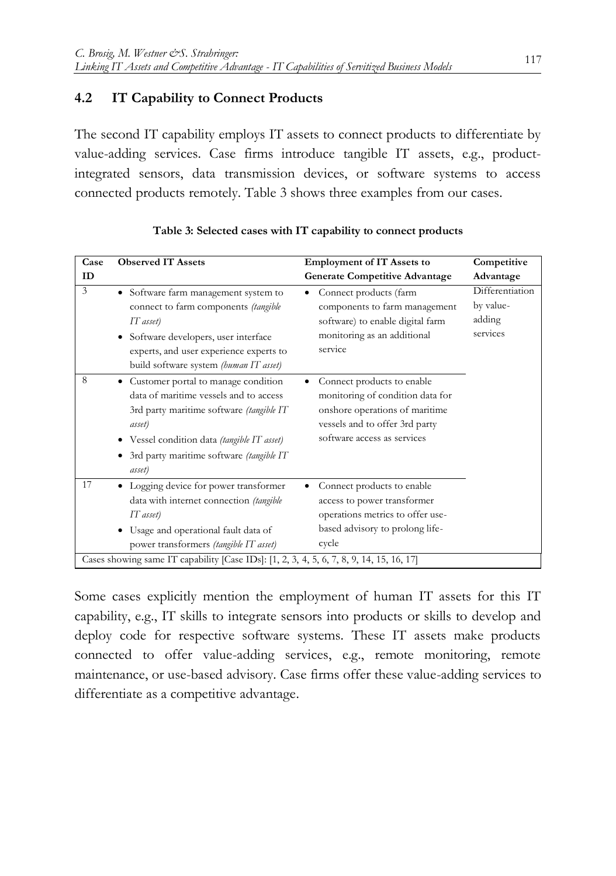#### **4.2 IT Capability to Connect Products**

The second IT capability employs IT assets to connect products to differentiate by value-adding services. Case firms introduce tangible IT assets, e.g., productintegrated sensors, data transmission devices, or software systems to access connected products remotely. Table 3 shows three examples from our cases.

| Case | <b>Observed IT Assets</b>                                                                                                                                                                                                                               | <b>Employment of IT Assets to</b>                                                                                                                                 | Competitive                                        |
|------|---------------------------------------------------------------------------------------------------------------------------------------------------------------------------------------------------------------------------------------------------------|-------------------------------------------------------------------------------------------------------------------------------------------------------------------|----------------------------------------------------|
| ID   |                                                                                                                                                                                                                                                         | <b>Generate Competitive Advantage</b>                                                                                                                             | Advantage                                          |
| 3    | • Software farm management system to<br>connect to farm components (tangible<br>IT asset)<br>Software developers, user interface<br>experts, and user experience experts to<br>build software system (human IT asset)                                   | Connect products (farm<br>components to farm management<br>software) to enable digital farm<br>monitoring as an additional<br>service                             | Differentiation<br>by value-<br>adding<br>services |
| 8    | Customer portal to manage condition<br>$\bullet$<br>data of maritime vessels and to access<br>3rd party maritime software (tangible IT<br>asset)<br>• Vessel condition data (tangible IT asset)<br>• 3rd party maritime software (tangible IT<br>asset) | Connect products to enable<br>monitoring of condition data for<br>onshore operations of maritime<br>vessels and to offer 3rd party<br>software access as services |                                                    |
| 17   | Logging device for power transformer<br>data with internet connection (tangible<br>$IT$ asset)<br>• Usage and operational fault data of<br>power transformers (tangible IT asset)                                                                       | Connect products to enable<br>access to power transformer<br>operations metrics to offer use-<br>based advisory to prolong life-<br>cycle                         |                                                    |
|      | Cases showing same IT capability [Case IDs]: [1, 2, 3, 4, 5, 6, 7, 8, 9, 14, 15, 16, 17]                                                                                                                                                                |                                                                                                                                                                   |                                                    |

| Table 3: Selected cases with IT capability to connect products |  |  |
|----------------------------------------------------------------|--|--|
|----------------------------------------------------------------|--|--|

Some cases explicitly mention the employment of human IT assets for this IT capability, e.g., IT skills to integrate sensors into products or skills to develop and deploy code for respective software systems. These IT assets make products connected to offer value-adding services, e.g., remote monitoring, remote maintenance, or use-based advisory. Case firms offer these value-adding services to differentiate as a competitive advantage.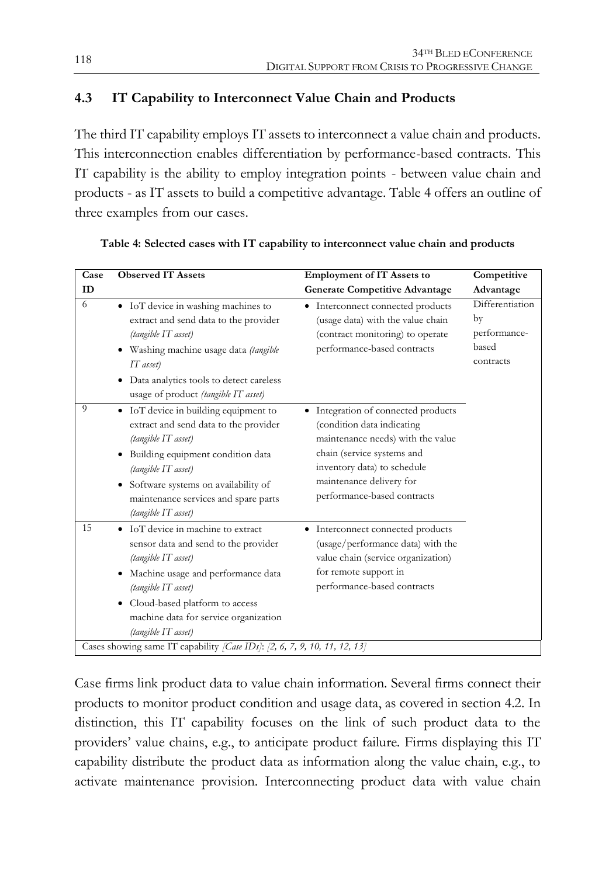#### **4.3 IT Capability to Interconnect Value Chain and Products**

The third IT capability employs IT assets to interconnect a value chain and products. This interconnection enables differentiation by performance-based contracts. This IT capability is the ability to employ integration points - between value chain and products - as IT assets to build a competitive advantage. Table 4 offers an outline of three examples from our cases.

| Case           | <b>Observed IT Assets</b>                                                                                                                                                                                                                                                      | <b>Employment of IT Assets to</b>                                                                                                                                                                                              | Competitive                                                 |
|----------------|--------------------------------------------------------------------------------------------------------------------------------------------------------------------------------------------------------------------------------------------------------------------------------|--------------------------------------------------------------------------------------------------------------------------------------------------------------------------------------------------------------------------------|-------------------------------------------------------------|
| ID             |                                                                                                                                                                                                                                                                                | <b>Generate Competitive Advantage</b>                                                                                                                                                                                          | Advantage                                                   |
| 6              | • IoT device in washing machines to<br>extract and send data to the provider<br>(tangible IT asset)<br>• Washing machine usage data (tangible<br>IT asset)<br>• Data analytics tools to detect careless<br>usage of product (tangible IT asset)                                | • Interconnect connected products<br>(usage data) with the value chain<br>(contract monitoring) to operate<br>performance-based contracts                                                                                      | Differentiation<br>by<br>performance-<br>based<br>contracts |
| $\overline{Q}$ | • IoT device in building equipment to<br>extract and send data to the provider<br>(tangible IT asset)<br>Building equipment condition data<br>٠<br>(tangible IT asset)<br>• Software systems on availability of<br>maintenance services and spare parts<br>(tangible IT asset) | • Integration of connected products<br>(condition data indicating<br>maintenance needs) with the value<br>chain (service systems and<br>inventory data) to schedule<br>maintenance delivery for<br>performance-based contracts |                                                             |
| 15             | • IoT device in machine to extract<br>sensor data and send to the provider<br>(tangible IT asset)<br>Machine usage and performance data<br>٠<br>(tangible IT asset)<br>Cloud-based platform to access<br>٠<br>machine data for service organization<br>(tangible IT asset)     | Interconnect connected products<br>٠<br>(usage/performance data) with the<br>value chain (service organization)<br>for remote support in<br>performance-based contracts                                                        |                                                             |
|                | Cases showing same IT capability [Case IDs]: [2, 6, 7, 9, 10, 11, 12, 13]                                                                                                                                                                                                      |                                                                                                                                                                                                                                |                                                             |

| Table 4: Selected cases with IT capability to interconnect value chain and products |  |  |  |
|-------------------------------------------------------------------------------------|--|--|--|
|                                                                                     |  |  |  |

Case firms link product data to value chain information. Several firms connect their products to monitor product condition and usage data, as covered in section 4.2. In distinction, this IT capability focuses on the link of such product data to the providers' value chains, e.g., to anticipate product failure. Firms displaying this IT capability distribute the product data as information along the value chain, e.g., to activate maintenance provision. Interconnecting product data with value chain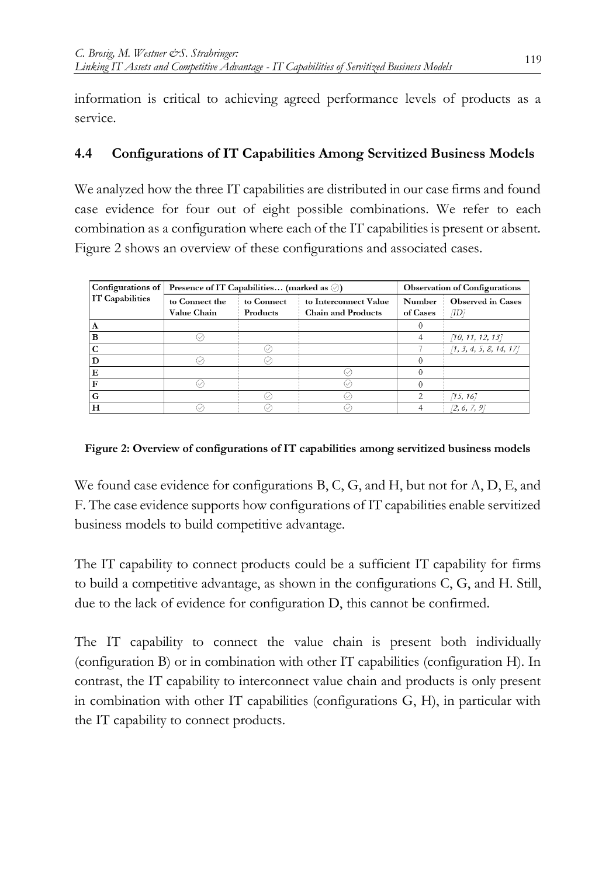information is critical to achieving agreed performance levels of products as a service.

#### **4.4 Configurations of IT Capabilities Among Servitized Business Models**

We analyzed how the three IT capabilities are distributed in our case firms and found case evidence for four out of eight possible combinations. We refer to each combination as a configuration where each of the IT capabilities is present or absent. Figure 2 shows an overview of these configurations and associated cases.

| Configurations of | Presence of IT Capabilities (marked as $\oslash$ ) |            |                           | <b>Observation of Configurations</b> |                          |
|-------------------|----------------------------------------------------|------------|---------------------------|--------------------------------------|--------------------------|
| IT Capabilities   | to Connect the                                     | to Connect | to Interconnect Value     | Number                               | <b>Observed</b> in Cases |
|                   | Value Chain                                        | Products   | <b>Chain and Products</b> | of Cases                             | /ID                      |
| A                 |                                                    |            |                           |                                      |                          |
| в                 |                                                    |            |                           |                                      | [10, 11, 12, 13]         |
|                   |                                                    |            |                           |                                      | [1, 3, 4, 5, 8, 14, 17]  |
|                   |                                                    |            |                           |                                      |                          |
| E                 |                                                    |            |                           |                                      |                          |
|                   |                                                    |            |                           |                                      |                          |
| G                 |                                                    |            |                           | $\overline{2}$                       | [15, 16]                 |
| н                 |                                                    |            |                           |                                      | [2, 6, 7, 9]             |

#### **Figure 2: Overview of configurations of IT capabilities among servitized business models**

We found case evidence for configurations B, C, G, and H, but not for A, D, E, and F. The case evidence supports how configurations of IT capabilities enable servitized business models to build competitive advantage.

The IT capability to connect products could be a sufficient IT capability for firms to build a competitive advantage, as shown in the configurations C, G, and H. Still, due to the lack of evidence for configuration D, this cannot be confirmed.

The IT capability to connect the value chain is present both individually (configuration B) or in combination with other IT capabilities (configuration H). In contrast, the IT capability to interconnect value chain and products is only present in combination with other IT capabilities (configurations G, H), in particular with the IT capability to connect products.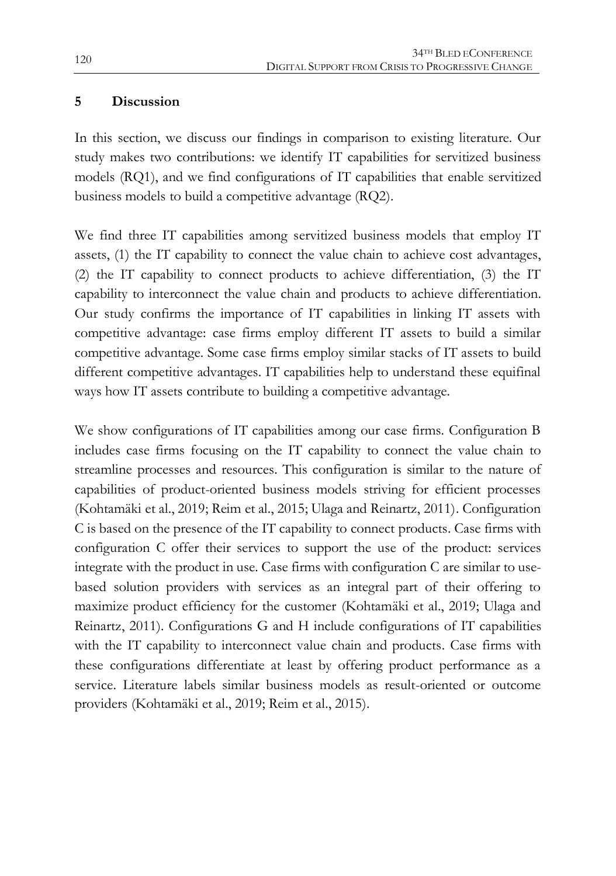#### **5 Discussion**

In this section, we discuss our findings in comparison to existing literature. Our study makes two contributions: we identify IT capabilities for servitized business models (RQ1), and we find configurations of IT capabilities that enable servitized business models to build a competitive advantage (RQ2).

We find three IT capabilities among servitized business models that employ IT assets, (1) the IT capability to connect the value chain to achieve cost advantages, (2) the IT capability to connect products to achieve differentiation, (3) the IT capability to interconnect the value chain and products to achieve differentiation. Our study confirms the importance of IT capabilities in linking IT assets with competitive advantage: case firms employ different IT assets to build a similar competitive advantage. Some case firms employ similar stacks of IT assets to build different competitive advantages. IT capabilities help to understand these equifinal ways how IT assets contribute to building a competitive advantage.

We show configurations of IT capabilities among our case firms. Configuration B includes case firms focusing on the IT capability to connect the value chain to streamline processes and resources. This configuration is similar to the nature of capabilities of product-oriented business models striving for efficient processes (Kohtamäki et al., 2019; Reim et al., 2015; Ulaga and Reinartz, 2011). Configuration C is based on the presence of the IT capability to connect products. Case firms with configuration C offer their services to support the use of the product: services integrate with the product in use. Case firms with configuration C are similar to usebased solution providers with services as an integral part of their offering to maximize product efficiency for the customer (Kohtamäki et al., 2019; Ulaga and Reinartz, 2011). Configurations G and H include configurations of IT capabilities with the IT capability to interconnect value chain and products. Case firms with these configurations differentiate at least by offering product performance as a service. Literature labels similar business models as result-oriented or outcome providers (Kohtamäki et al., 2019; Reim et al., 2015).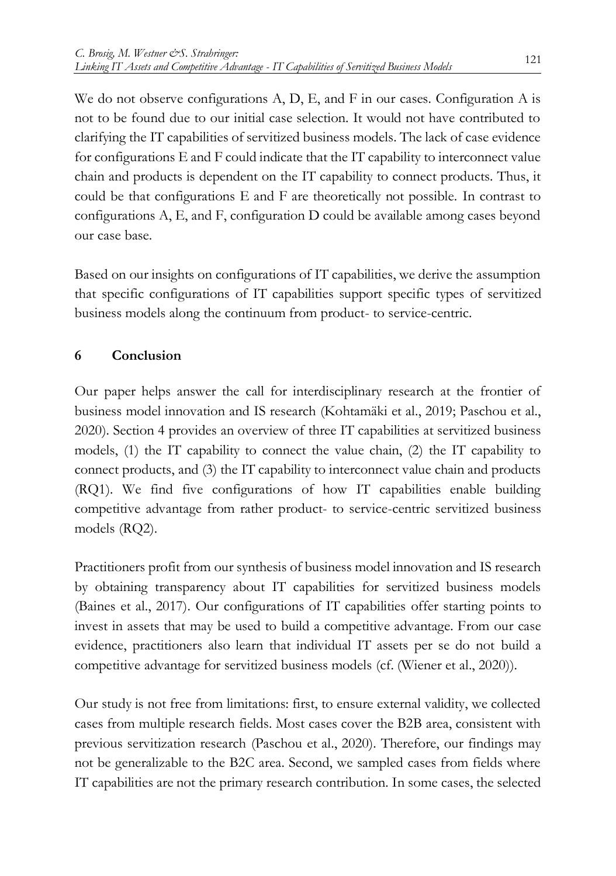We do not observe configurations A, D, E, and F in our cases. Configuration A is not to be found due to our initial case selection. It would not have contributed to clarifying the IT capabilities of servitized business models. The lack of case evidence for configurations E and F could indicate that the IT capability to interconnect value chain and products is dependent on the IT capability to connect products. Thus, it could be that configurations E and F are theoretically not possible. In contrast to configurations A, E, and F, configuration D could be available among cases beyond our case base.

Based on our insights on configurations of IT capabilities, we derive the assumption that specific configurations of IT capabilities support specific types of servitized business models along the continuum from product- to service-centric.

### **6 Conclusion**

Our paper helps answer the call for interdisciplinary research at the frontier of business model innovation and IS research (Kohtamäki et al., 2019; Paschou et al., 2020). Section 4 provides an overview of three IT capabilities at servitized business models, (1) the IT capability to connect the value chain, (2) the IT capability to connect products, and (3) the IT capability to interconnect value chain and products (RQ1). We find five configurations of how IT capabilities enable building competitive advantage from rather product- to service-centric servitized business models (RQ2).

Practitioners profit from our synthesis of business model innovation and IS research by obtaining transparency about IT capabilities for servitized business models (Baines et al., 2017). Our configurations of IT capabilities offer starting points to invest in assets that may be used to build a competitive advantage. From our case evidence, practitioners also learn that individual IT assets per se do not build a competitive advantage for servitized business models (cf. (Wiener et al., 2020)).

Our study is not free from limitations: first, to ensure external validity, we collected cases from multiple research fields. Most cases cover the B2B area, consistent with previous servitization research (Paschou et al., 2020). Therefore, our findings may not be generalizable to the B2C area. Second, we sampled cases from fields where IT capabilities are not the primary research contribution. In some cases, the selected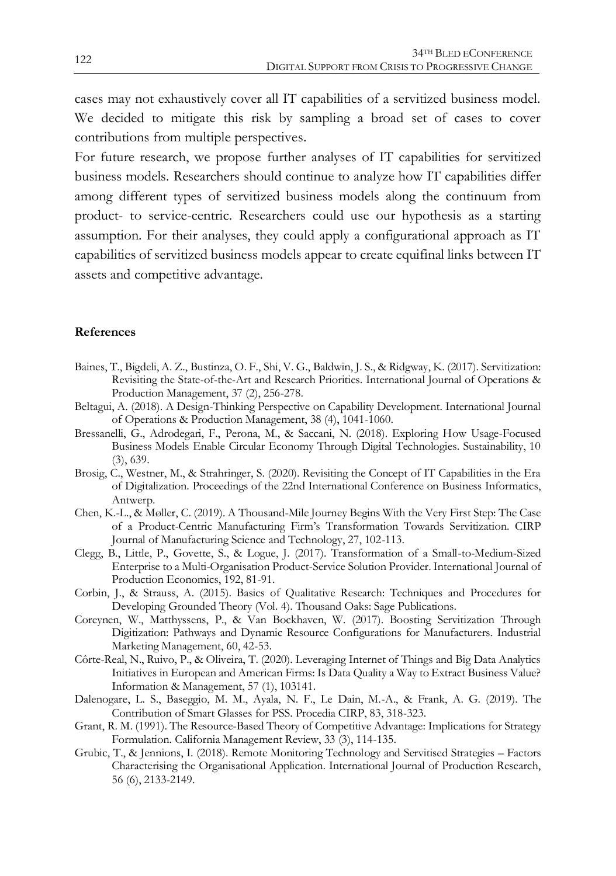cases may not exhaustively cover all IT capabilities of a servitized business model. We decided to mitigate this risk by sampling a broad set of cases to cover contributions from multiple perspectives.

For future research, we propose further analyses of IT capabilities for servitized business models. Researchers should continue to analyze how IT capabilities differ among different types of servitized business models along the continuum from product- to service-centric. Researchers could use our hypothesis as a starting assumption. For their analyses, they could apply a configurational approach as IT capabilities of servitized business models appear to create equifinal links between IT assets and competitive advantage.

#### **References**

- Baines, T., Bigdeli, A. Z., Bustinza, O. F., Shi, V. G., Baldwin, J. S., & Ridgway, K. (2017). Servitization: Revisiting the State-of-the-Art and Research Priorities. International Journal of Operations & Production Management, 37 (2), 256-278.
- Beltagui, A. (2018). A Design-Thinking Perspective on Capability Development. International Journal of Operations & Production Management, 38 (4), 1041-1060.
- Bressanelli, G., Adrodegari, F., Perona, M., & Saccani, N. (2018). Exploring How Usage-Focused Business Models Enable Circular Economy Through Digital Technologies. Sustainability, 10 (3), 639.
- Brosig, C., Westner, M., & Strahringer, S. (2020). Revisiting the Concept of IT Capabilities in the Era of Digitalization. Proceedings of the 22nd International Conference on Business Informatics, Antwerp.
- Chen, K.-L., & Møller, C. (2019). A Thousand-Mile Journey Begins With the Very First Step: The Case of a Product-Centric Manufacturing Firm's Transformation Towards Servitization. CIRP Journal of Manufacturing Science and Technology, 27, 102-113.
- Clegg, B., Little, P., Govette, S., & Logue, J. (2017). Transformation of a Small-to-Medium-Sized Enterprise to a Multi-Organisation Product-Service Solution Provider. International Journal of Production Economics, 192, 81-91.
- Corbin, J., & Strauss, A. (2015). Basics of Qualitative Research: Techniques and Procedures for Developing Grounded Theory (Vol. 4). Thousand Oaks: Sage Publications.
- Coreynen, W., Matthyssens, P., & Van Bockhaven, W. (2017). Boosting Servitization Through Digitization: Pathways and Dynamic Resource Configurations for Manufacturers. Industrial Marketing Management, 60, 42-53.
- Côrte-Real, N., Ruivo, P., & Oliveira, T. (2020). Leveraging Internet of Things and Big Data Analytics Initiatives in European and American Firms: Is Data Quality a Way to Extract Business Value? Information & Management, 57 (1), 103141.
- Dalenogare, L. S., Baseggio, M. M., Ayala, N. F., Le Dain, M.-A., & Frank, A. G. (2019). The Contribution of Smart Glasses for PSS. Procedia CIRP, 83, 318-323.
- Grant, R. M. (1991). The Resource-Based Theory of Competitive Advantage: Implications for Strategy Formulation. California Management Review, 33 (3), 114-135.
- Grubic, T., & Jennions, I. (2018). Remote Monitoring Technology and Servitised Strategies Factors Characterising the Organisational Application. International Journal of Production Research, 56 (6), 2133-2149.